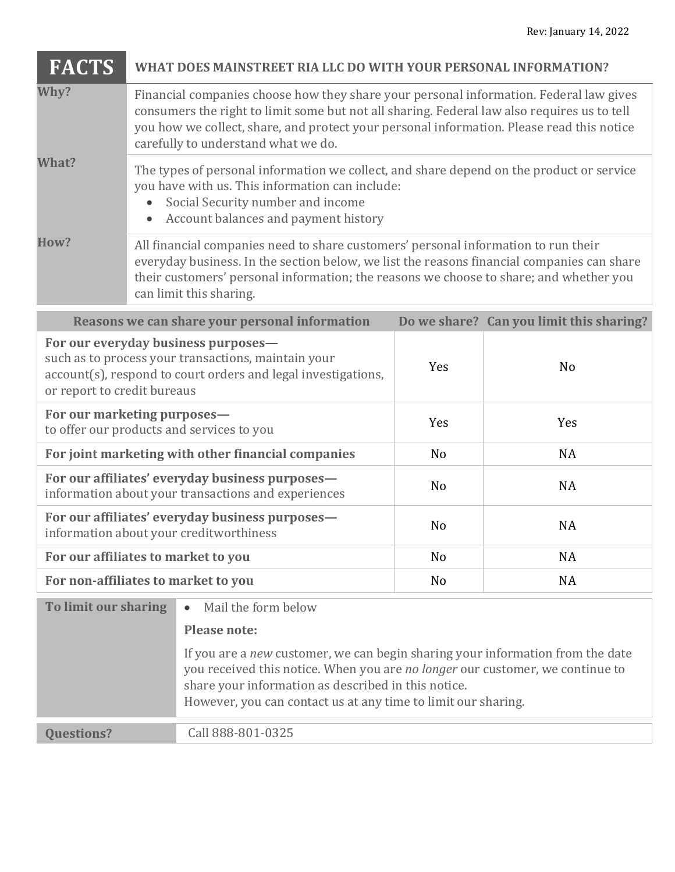| <b>FACTS</b>                                                                                                                                                                               | WHAT DOES MAINSTREET RIA LLC DO WITH YOUR PERSONAL INFORMATION?                                                                                                                                                                                                                                                           |                                                                                                                                                                                                                                                                                         |                |                                          |  |  |
|--------------------------------------------------------------------------------------------------------------------------------------------------------------------------------------------|---------------------------------------------------------------------------------------------------------------------------------------------------------------------------------------------------------------------------------------------------------------------------------------------------------------------------|-----------------------------------------------------------------------------------------------------------------------------------------------------------------------------------------------------------------------------------------------------------------------------------------|----------------|------------------------------------------|--|--|
| Why?                                                                                                                                                                                       | Financial companies choose how they share your personal information. Federal law gives<br>consumers the right to limit some but not all sharing. Federal law also requires us to tell<br>you how we collect, share, and protect your personal information. Please read this notice<br>carefully to understand what we do. |                                                                                                                                                                                                                                                                                         |                |                                          |  |  |
| What?                                                                                                                                                                                      | The types of personal information we collect, and share depend on the product or service<br>you have with us. This information can include:<br>Social Security number and income<br>Account balances and payment history                                                                                                  |                                                                                                                                                                                                                                                                                         |                |                                          |  |  |
| How?                                                                                                                                                                                       | All financial companies need to share customers' personal information to run their<br>everyday business. In the section below, we list the reasons financial companies can share<br>their customers' personal information; the reasons we choose to share; and whether you<br>can limit this sharing.                     |                                                                                                                                                                                                                                                                                         |                |                                          |  |  |
|                                                                                                                                                                                            |                                                                                                                                                                                                                                                                                                                           | Reasons we can share your personal information                                                                                                                                                                                                                                          |                | Do we share? Can you limit this sharing? |  |  |
| For our everyday business purposes-<br>such as to process your transactions, maintain your<br>account(s), respond to court orders and legal investigations,<br>or report to credit bureaus |                                                                                                                                                                                                                                                                                                                           |                                                                                                                                                                                                                                                                                         | Yes            | N <sub>o</sub>                           |  |  |
| For our marketing purposes-<br>to offer our products and services to you                                                                                                                   |                                                                                                                                                                                                                                                                                                                           |                                                                                                                                                                                                                                                                                         | Yes            | Yes                                      |  |  |
| For joint marketing with other financial companies                                                                                                                                         |                                                                                                                                                                                                                                                                                                                           |                                                                                                                                                                                                                                                                                         | N <sub>o</sub> | <b>NA</b>                                |  |  |
| For our affiliates' everyday business purposes-<br>information about your transactions and experiences                                                                                     |                                                                                                                                                                                                                                                                                                                           |                                                                                                                                                                                                                                                                                         | N <sub>o</sub> | <b>NA</b>                                |  |  |
|                                                                                                                                                                                            |                                                                                                                                                                                                                                                                                                                           | For our affiliates' everyday business purposes-<br>information about your creditworthiness                                                                                                                                                                                              | N <sub>o</sub> | <b>NA</b>                                |  |  |
| For our affiliates to market to you                                                                                                                                                        |                                                                                                                                                                                                                                                                                                                           |                                                                                                                                                                                                                                                                                         | N <sub>0</sub> | <b>NA</b>                                |  |  |
| For non-affiliates to market to you                                                                                                                                                        |                                                                                                                                                                                                                                                                                                                           |                                                                                                                                                                                                                                                                                         | N <sub>o</sub> | <b>NA</b>                                |  |  |
| To limit our sharing                                                                                                                                                                       |                                                                                                                                                                                                                                                                                                                           | Mail the form below<br>$\bullet$                                                                                                                                                                                                                                                        |                |                                          |  |  |
|                                                                                                                                                                                            |                                                                                                                                                                                                                                                                                                                           | <b>Please note:</b>                                                                                                                                                                                                                                                                     |                |                                          |  |  |
|                                                                                                                                                                                            |                                                                                                                                                                                                                                                                                                                           | If you are a new customer, we can begin sharing your information from the date<br>you received this notice. When you are no longer our customer, we continue to<br>share your information as described in this notice.<br>However, you can contact us at any time to limit our sharing. |                |                                          |  |  |
| <b>Questions?</b>                                                                                                                                                                          |                                                                                                                                                                                                                                                                                                                           | Call 888-801-0325                                                                                                                                                                                                                                                                       |                |                                          |  |  |